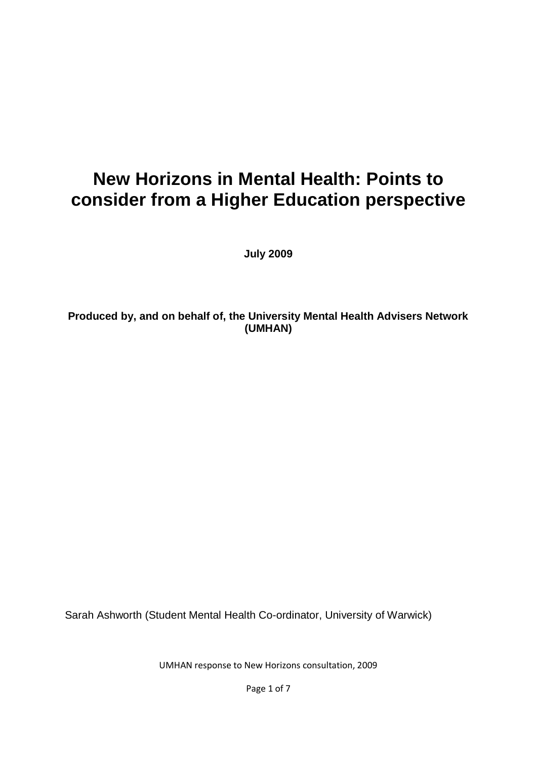# **New Horizons in Mental Health: Points to consider from a Higher Education perspective**

**July 2009**

## **Produced by, and on behalf of, the University Mental Health Advisers Network (UMHAN)**

Sarah Ashworth (Student Mental Health Co-ordinator, University of Warwick)

UMHAN response to New Horizons consultation, 2009

Page 1 of 7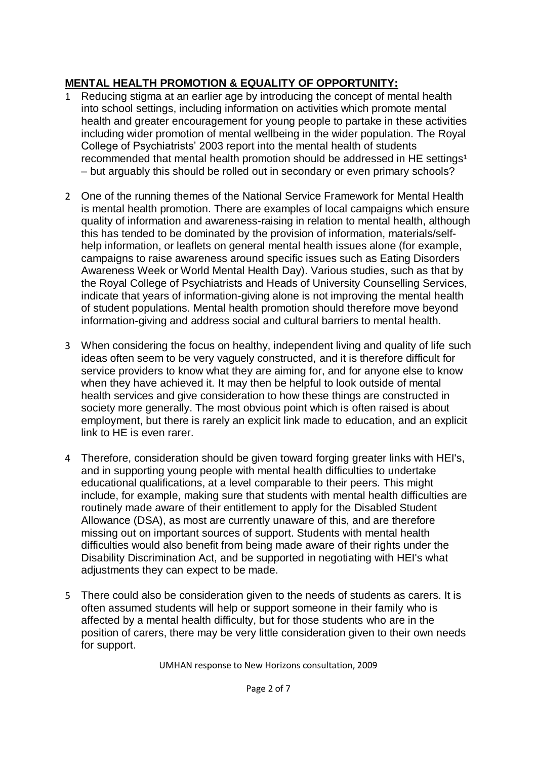## **MENTAL HEALTH PROMOTION & EQUALITY OF OPPORTUNITY:**

- 1 Reducing stigma at an earlier age by introducing the concept of mental health into school settings, including information on activities which promote mental health and greater encouragement for young people to partake in these activities including wider promotion of mental wellbeing in the wider population. The Royal College of Psychiatrists' 2003 report into the mental health of students recommended that mental health promotion should be addressed in HE settings<sup>1</sup> – but arguably this should be rolled out in secondary or even primary schools?
- 2 One of the running themes of the National Service Framework for Mental Health is mental health promotion. There are examples of local campaigns which ensure quality of information and awareness-raising in relation to mental health, although this has tended to be dominated by the provision of information, materials/selfhelp information, or leaflets on general mental health issues alone (for example, campaigns to raise awareness around specific issues such as Eating Disorders Awareness Week or World Mental Health Day). Various studies, such as that by the Royal College of Psychiatrists and Heads of University Counselling Services, indicate that years of information-giving alone is not improving the mental health of student populations. Mental health promotion should therefore move beyond information-giving and address social and cultural barriers to mental health.
- 3 When considering the focus on healthy, independent living and quality of life such ideas often seem to be very vaguely constructed, and it is therefore difficult for service providers to know what they are aiming for, and for anyone else to know when they have achieved it. It may then be helpful to look outside of mental health services and give consideration to how these things are constructed in society more generally. The most obvious point which is often raised is about employment, but there is rarely an explicit link made to education, and an explicit link to HE is even rarer.
- 4 Therefore, consideration should be given toward forging greater links with HEI's, and in supporting young people with mental health difficulties to undertake educational qualifications, at a level comparable to their peers. This might include, for example, making sure that students with mental health difficulties are routinely made aware of their entitlement to apply for the Disabled Student Allowance (DSA), as most are currently unaware of this, and are therefore missing out on important sources of support. Students with mental health difficulties would also benefit from being made aware of their rights under the Disability Discrimination Act, and be supported in negotiating with HEI's what adjustments they can expect to be made.
- 5 There could also be consideration given to the needs of students as carers. It is often assumed students will help or support someone in their family who is affected by a mental health difficulty, but for those students who are in the position of carers, there may be very little consideration given to their own needs for support.

UMHAN response to New Horizons consultation, 2009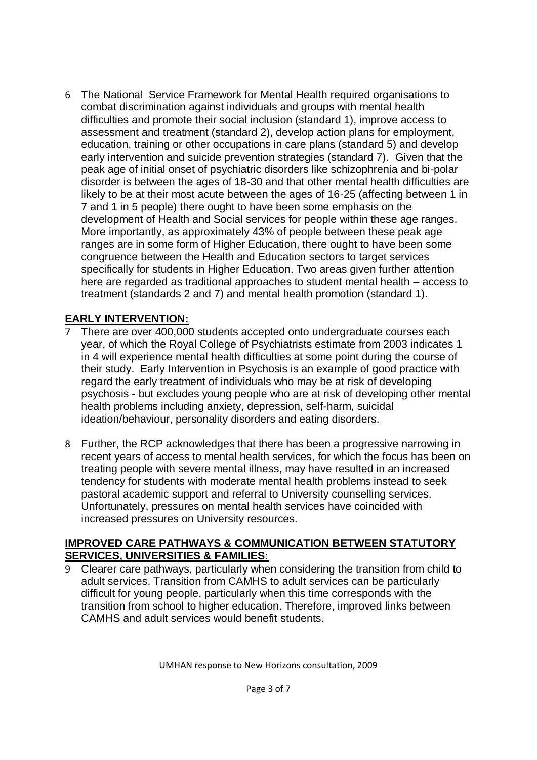6 The National Service Framework for Mental Health required organisations to combat discrimination against individuals and groups with mental health difficulties and promote their social inclusion (standard 1), improve access to assessment and treatment (standard 2), develop action plans for employment, education, training or other occupations in care plans (standard 5) and develop early intervention and suicide prevention strategies (standard 7). Given that the peak age of initial onset of psychiatric disorders like schizophrenia and bi-polar disorder is between the ages of 18-30 and that other mental health difficulties are likely to be at their most acute between the ages of 16-25 (affecting between 1 in 7 and 1 in 5 people) there ought to have been some emphasis on the development of Health and Social services for people within these age ranges. More importantly, as approximately 43% of people between these peak age ranges are in some form of Higher Education, there ought to have been some congruence between the Health and Education sectors to target services specifically for students in Higher Education. Two areas given further attention here are regarded as traditional approaches to student mental health – access to treatment (standards 2 and 7) and mental health promotion (standard 1).

## **EARLY INTERVENTION:**

- 7 There are over 400,000 students accepted onto undergraduate courses each year, of which the Royal College of Psychiatrists estimate from 2003 indicates 1 in 4 will experience mental health difficulties at some point during the course of their study. Early Intervention in Psychosis is an example of good practice with regard the early treatment of individuals who may be at risk of developing psychosis - but excludes young people who are at risk of developing other mental health problems including anxiety, depression, self-harm, suicidal ideation/behaviour, personality disorders and eating disorders.
- 8 Further, the RCP acknowledges that there has been a progressive narrowing in recent years of access to mental health services, for which the focus has been on treating people with severe mental illness, may have resulted in an increased tendency for students with moderate mental health problems instead to seek pastoral academic support and referral to University counselling services. Unfortunately, pressures on mental health services have coincided with increased pressures on University resources.

#### **IMPROVED CARE PATHWAYS & COMMUNICATION BETWEEN STATUTORY SERVICES, UNIVERSITIES & FAMILIES:**

9 Clearer care pathways, particularly when considering the transition from child to adult services. Transition from CAMHS to adult services can be particularly difficult for young people, particularly when this time corresponds with the transition from school to higher education. Therefore, improved links between CAMHS and adult services would benefit students.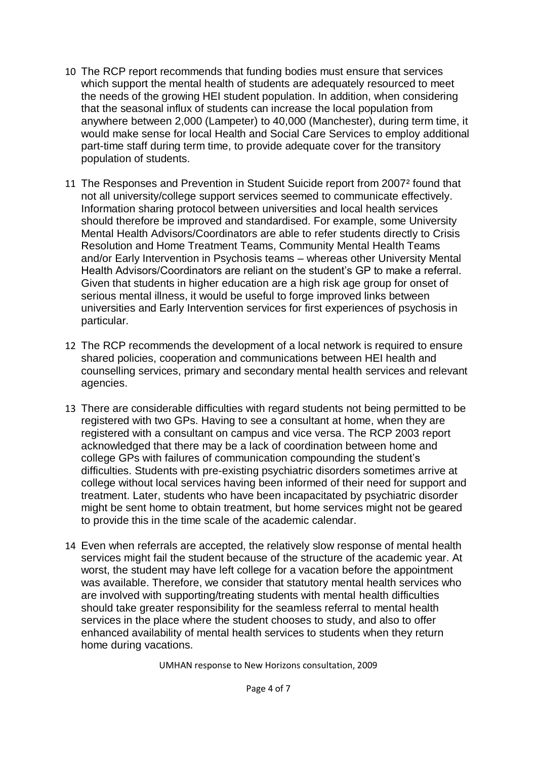- 10 The RCP report recommends that funding bodies must ensure that services which support the mental health of students are adequately resourced to meet the needs of the growing HEI student population. In addition, when considering that the seasonal influx of students can increase the local population from anywhere between 2,000 (Lampeter) to 40,000 (Manchester), during term time, it would make sense for local Health and Social Care Services to employ additional part-time staff during term time, to provide adequate cover for the transitory population of students.
- 11 The Responses and Prevention in Student Suicide report from 2007² found that not all university/college support services seemed to communicate effectively. Information sharing protocol between universities and local health services should therefore be improved and standardised. For example, some University Mental Health Advisors/Coordinators are able to refer students directly to Crisis Resolution and Home Treatment Teams, Community Mental Health Teams and/or Early Intervention in Psychosis teams – whereas other University Mental Health Advisors/Coordinators are reliant on the student's GP to make a referral. Given that students in higher education are a high risk age group for onset of serious mental illness, it would be useful to forge improved links between universities and Early Intervention services for first experiences of psychosis in particular.
- 12 The RCP recommends the development of a local network is required to ensure shared policies, cooperation and communications between HEI health and counselling services, primary and secondary mental health services and relevant agencies.
- 13 There are considerable difficulties with regard students not being permitted to be registered with two GPs. Having to see a consultant at home, when they are registered with a consultant on campus and vice versa. The RCP 2003 report acknowledged that there may be a lack of coordination between home and college GPs with failures of communication compounding the student's difficulties. Students with pre-existing psychiatric disorders sometimes arrive at college without local services having been informed of their need for support and treatment. Later, students who have been incapacitated by psychiatric disorder might be sent home to obtain treatment, but home services might not be geared to provide this in the time scale of the academic calendar.
- 14 Even when referrals are accepted, the relatively slow response of mental health services might fail the student because of the structure of the academic year. At worst, the student may have left college for a vacation before the appointment was available. Therefore, we consider that statutory mental health services who are involved with supporting/treating students with mental health difficulties should take greater responsibility for the seamless referral to mental health services in the place where the student chooses to study, and also to offer enhanced availability of mental health services to students when they return home during vacations.

UMHAN response to New Horizons consultation, 2009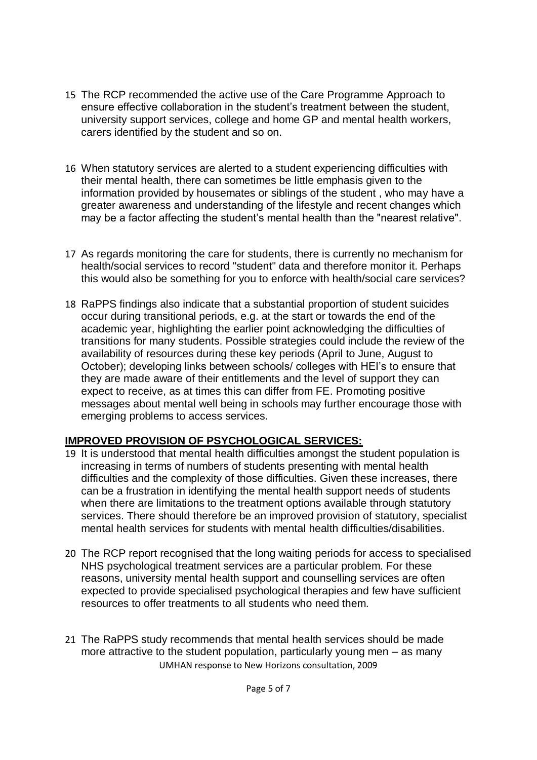- 15 The RCP recommended the active use of the Care Programme Approach to ensure effective collaboration in the student's treatment between the student, university support services, college and home GP and mental health workers, carers identified by the student and so on.
- 16 When statutory services are alerted to a student experiencing difficulties with their mental health, there can sometimes be little emphasis given to the information provided by housemates or siblings of the student , who may have a greater awareness and understanding of the lifestyle and recent changes which may be a factor affecting the student's mental health than the "nearest relative".
- 17 As regards monitoring the care for students, there is currently no mechanism for health/social services to record "student" data and therefore monitor it. Perhaps this would also be something for you to enforce with health/social care services?
- 18 RaPPS findings also indicate that a substantial proportion of student suicides occur during transitional periods, e.g. at the start or towards the end of the academic year, highlighting the earlier point acknowledging the difficulties of transitions for many students. Possible strategies could include the review of the availability of resources during these key periods (April to June, August to October); developing links between schools/ colleges with HEI's to ensure that they are made aware of their entitlements and the level of support they can expect to receive, as at times this can differ from FE. Promoting positive messages about mental well being in schools may further encourage those with emerging problems to access services.

### **IMPROVED PROVISION OF PSYCHOLOGICAL SERVICES:**

- 19 It is understood that mental health difficulties amongst the student population is increasing in terms of numbers of students presenting with mental health difficulties and the complexity of those difficulties. Given these increases, there can be a frustration in identifying the mental health support needs of students when there are limitations to the treatment options available through statutory services. There should therefore be an improved provision of statutory, specialist mental health services for students with mental health difficulties/disabilities.
- 20 The RCP report recognised that the long waiting periods for access to specialised NHS psychological treatment services are a particular problem. For these reasons, university mental health support and counselling services are often expected to provide specialised psychological therapies and few have sufficient resources to offer treatments to all students who need them.
- UMHAN response to New Horizons consultation, 2009 21 The RaPPS study recommends that mental health services should be made more attractive to the student population, particularly young men – as many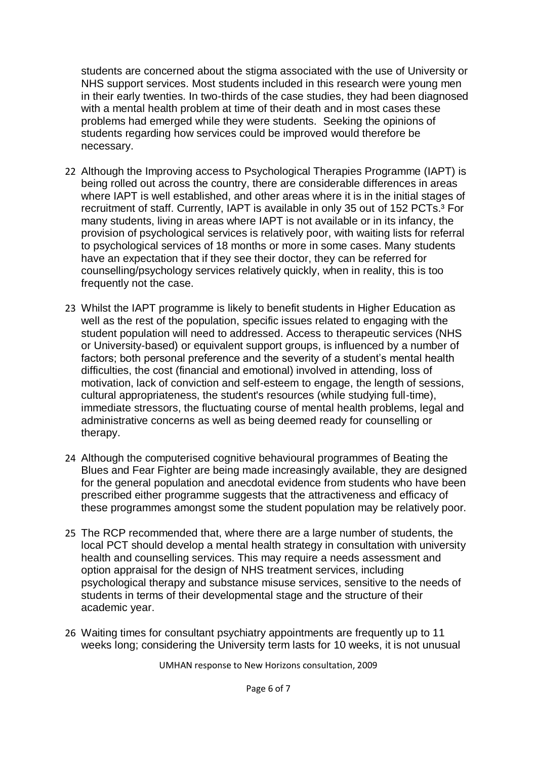students are concerned about the stigma associated with the use of University or NHS support services. Most students included in this research were young men in their early twenties. In two-thirds of the case studies, they had been diagnosed with a mental health problem at time of their death and in most cases these problems had emerged while they were students. Seeking the opinions of students regarding how services could be improved would therefore be necessary.

- 22 Although the Improving access to Psychological Therapies Programme (IAPT) is being rolled out across the country, there are considerable differences in areas where IAPT is well established, and other areas where it is in the initial stages of recruitment of staff. Currently, IAPT is available in only 35 out of 152 PCTs.<sup>3</sup> For many students, living in areas where IAPT is not available or in its infancy, the provision of psychological services is relatively poor, with waiting lists for referral to psychological services of 18 months or more in some cases. Many students have an expectation that if they see their doctor, they can be referred for counselling/psychology services relatively quickly, when in reality, this is too frequently not the case.
- 23 Whilst the IAPT programme is likely to benefit students in Higher Education as well as the rest of the population, specific issues related to engaging with the student population will need to addressed. Access to therapeutic services (NHS or University-based) or equivalent support groups, is influenced by a number of factors; both personal preference and the severity of a student's mental health difficulties, the cost (financial and emotional) involved in attending, loss of motivation, lack of conviction and self-esteem to engage, the length of sessions, cultural appropriateness, the student's resources (while studying full-time), immediate stressors, the fluctuating course of mental health problems, legal and administrative concerns as well as being deemed ready for counselling or therapy.
- 24 Although the computerised cognitive behavioural programmes of Beating the Blues and Fear Fighter are being made increasingly available, they are designed for the general population and anecdotal evidence from students who have been prescribed either programme suggests that the attractiveness and efficacy of these programmes amongst some the student population may be relatively poor.
- 25 The RCP recommended that, where there are a large number of students, the local PCT should develop a mental health strategy in consultation with university health and counselling services. This may require a needs assessment and option appraisal for the design of NHS treatment services, including psychological therapy and substance misuse services, sensitive to the needs of students in terms of their developmental stage and the structure of their academic year.
- 26 Waiting times for consultant psychiatry appointments are frequently up to 11 weeks long; considering the University term lasts for 10 weeks, it is not unusual

UMHAN response to New Horizons consultation, 2009